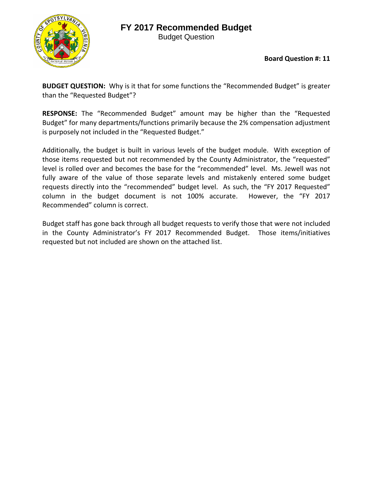## **FY 2017 Recommended Budget**



Budget Question

**Board Question #: 11**

**BUDGET QUESTION:** Why is it that for some functions the "Recommended Budget" is greater than the "Requested Budget"?

**RESPONSE:** The "Recommended Budget" amount may be higher than the "Requested Budget" for many departments/functions primarily because the 2% compensation adjustment is purposely not included in the "Requested Budget."

Additionally, the budget is built in various levels of the budget module. With exception of those items requested but not recommended by the County Administrator, the "requested" level is rolled over and becomes the base for the "recommended" level. Ms. Jewell was not fully aware of the value of those separate levels and mistakenly entered some budget requests directly into the "recommended" budget level. As such, the "FY 2017 Requested" column in the budget document is not 100% accurate. However, the "FY 2017 Recommended" column is correct.

Budget staff has gone back through all budget requests to verify those that were not included in the County Administrator's FY 2017 Recommended Budget. Those items/initiatives requested but not included are shown on the attached list.